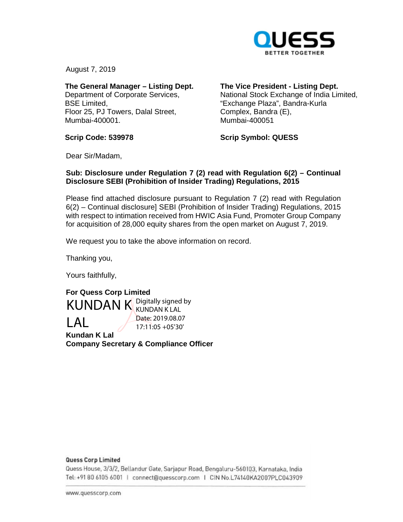

August 7, 2019

**The General Manager – Listing Dept.**  Department of Corporate Services, BSE Limited, Floor 25, PJ Towers, Dalal Street, Mumbai-400001.

**The Vice President - Listing Dept.** 

National Stock Exchange of India Limited, "Exchange Plaza", Bandra-Kurla Complex, Bandra (E), Mumbai-400051

**Scrip Code: 539978** 

**Scrip Symbol: QUESS** 

Dear Sir/Madam,

## **Sub: Disclosure under Regulation 7 (2) read with Regulation 6(2) – Continual Disclosure SEBI (Prohibition of Insider Trading) Regulations, 2015**

Please find attached disclosure pursuant to Regulation 7 (2) read with Regulation 6(2) – Continual disclosure] SEBI (Prohibition of Insider Trading) Regulations, 2015 with respect to intimation received from HWIC Asia Fund, Promoter Group Company for acquisition of 28,000 equity shares from the open market on August 7, 2019.

We request you to take the above information on record.

Thanking you,

Yours faithfully,

**For Quess Corp Limited Kundan K Lal**  KUNDAN K Digitally signed by LAL KUNDAN K LAL Date: 2019.08.07 17:11:05 +05'30'

**Company Secretary & Compliance Officer** 

#### **Quess Corp Limited**

Quess House, 3/3/2, Bellandur Gate, Sarjapur Road, Bengaluru-560103, Karnataka, India om <sup>0</sup>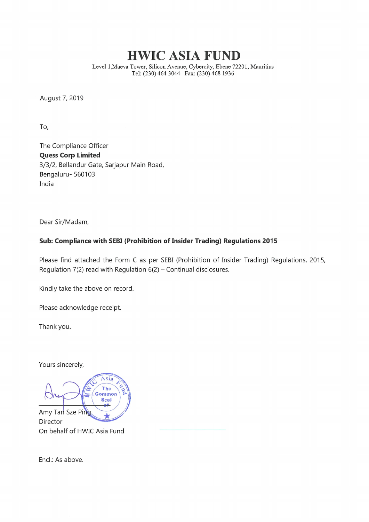# HWIC ASIA FUND

Level l,Maeva Tower, Silicon Avenue, Cybercity, Ebene 72201, Mauritius Tel: (230) 464 3044 Fax: (230) 468 1936

August 7, 2019

To,

The Compliance Officer Quess Corp Limited 3/3/2, Bellandur Gate, Sarjapur Main Road, Bengaluru- 560103 India

Dear Sir/Madam,

# Sub: Compliance with SEBI (Prohibition of Insider Trading) Regulations 2015

Please find attached the Form C as per SEBI (Prohibition of Insider Trading) Regulations, 2015, Regulation  $7(2)$  read with Regulation  $6(2)$  – Continual disclosures.

Kindly take the above on record.

Please acknowledge receipt.

Thank you.

Yours sincerely,

Asia **CARD** The Common **Seal** né. Amy Tan Sze Ping Director On behalf of HWIC Asia Fund

Encl.: As above.